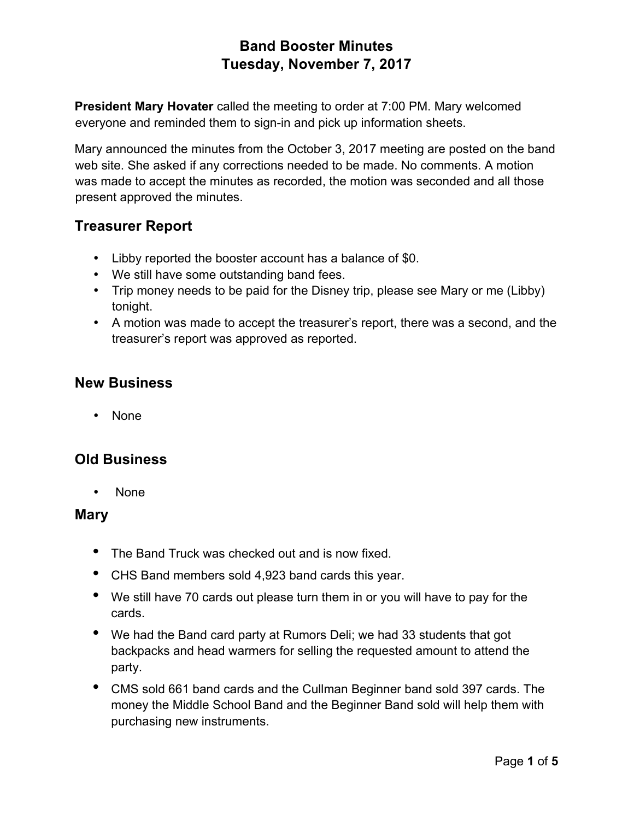**President Mary Hovater** called the meeting to order at 7:00 PM. Mary welcomed everyone and reminded them to sign-in and pick up information sheets.

Mary announced the minutes from the October 3, 2017 meeting are posted on the band web site. She asked if any corrections needed to be made. No comments. A motion was made to accept the minutes as recorded, the motion was seconded and all those present approved the minutes.

### **Treasurer Report**

- Libby reported the booster account has a balance of \$0.
- We still have some outstanding band fees.
- Trip money needs to be paid for the Disney trip, please see Mary or me (Libby) tonight.
- A motion was made to accept the treasurer's report, there was a second, and the treasurer's report was approved as reported.

### **New Business**

• None

### **Old Business**

• None

#### **Mary**

- The Band Truck was checked out and is now fixed.
- CHS Band members sold 4,923 band cards this year.
- We still have 70 cards out please turn them in or you will have to pay for the cards.
- We had the Band card party at Rumors Deli; we had 33 students that got backpacks and head warmers for selling the requested amount to attend the party.
- CMS sold 661 band cards and the Cullman Beginner band sold 397 cards. The money the Middle School Band and the Beginner Band sold will help them with purchasing new instruments.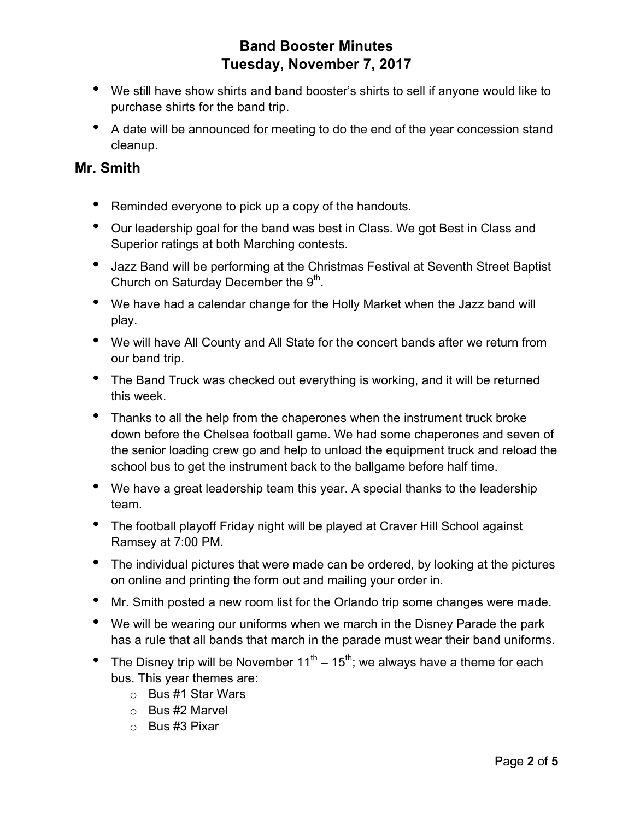- We still have show shirts and band booster's shirts to sell if anyone would like to purchase shirts for the band trip.
- A date will be announced for meeting to do the end of the year concession stand cleanup.

#### **Mr. Smith**

- Reminded everyone to pick up a copy of the handouts.
- Our leadership goal for the band was best in Class. We got Best in Class and Superior ratings at both Marching contests.
- Jazz Band will be performing at the Christmas Festival at Seventh Street Baptist Church on Saturday December the  $9<sup>th</sup>$ .
- We have had a calendar change for the Holly Market when the Jazz band will play.
- We will have All County and All State for the concert bands after we return from our band trip.
- The Band Truck was checked out everything is working, and it will be returned this week.
- Thanks to all the help from the chaperones when the instrument truck broke down before the Chelsea football game. We had some chaperones and seven of the senior loading crew go and help to unload the equipment truck and reload the school bus to get the instrument back to the ballgame before half time.
- We have a great leadership team this year. A special thanks to the leadership team.
- The football playoff Friday night will be played at Craver Hill School against Ramsey at 7:00 PM.
- The individual pictures that were made can be ordered, by looking at the pictures on online and printing the form out and mailing your order in.
- Mr. Smith posted a new room list for the Orlando trip some changes were made.
- We will be wearing our uniforms when we march in the Disney Parade the park has a rule that all bands that march in the parade must wear their band uniforms.
- The Disney trip will be November  $11^{th} 15^{th}$ ; we always have a theme for each bus. This year themes are:
	- o Bus #1 Star Wars
	- o Bus #2 Marvel
	- o Bus #3 Pixar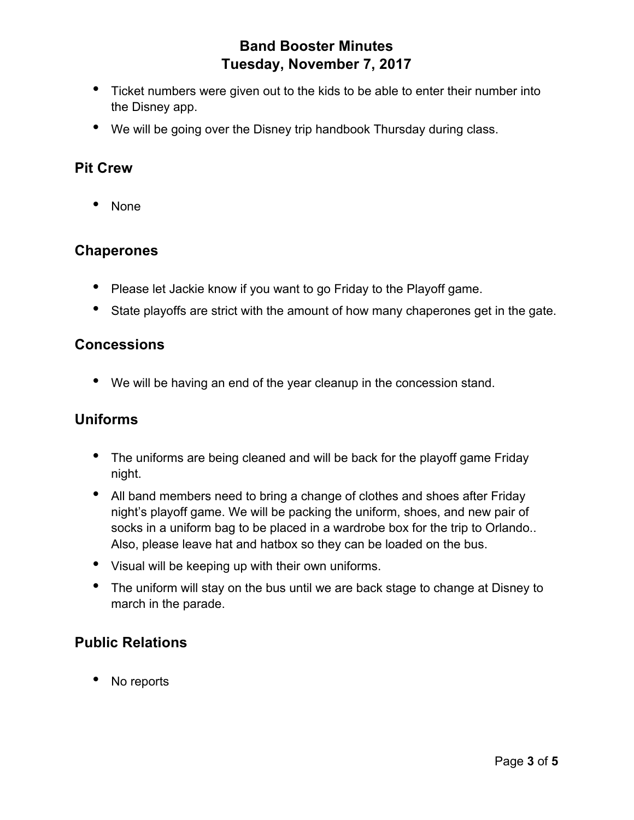- Ticket numbers were given out to the kids to be able to enter their number into the Disney app.
- We will be going over the Disney trip handbook Thursday during class.

### **Pit Crew**

• None

### **Chaperones**

- Please let Jackie know if you want to go Friday to the Playoff game.
- State playoffs are strict with the amount of how many chaperones get in the gate.

#### **Concessions**

• We will be having an end of the year cleanup in the concession stand.

### **Uniforms**

- The uniforms are being cleaned and will be back for the playoff game Friday night.
- All band members need to bring a change of clothes and shoes after Friday night's playoff game. We will be packing the uniform, shoes, and new pair of socks in a uniform bag to be placed in a wardrobe box for the trip to Orlando.. Also, please leave hat and hatbox so they can be loaded on the bus.
- Visual will be keeping up with their own uniforms.
- The uniform will stay on the bus until we are back stage to change at Disney to march in the parade.

# **Public Relations**

No reports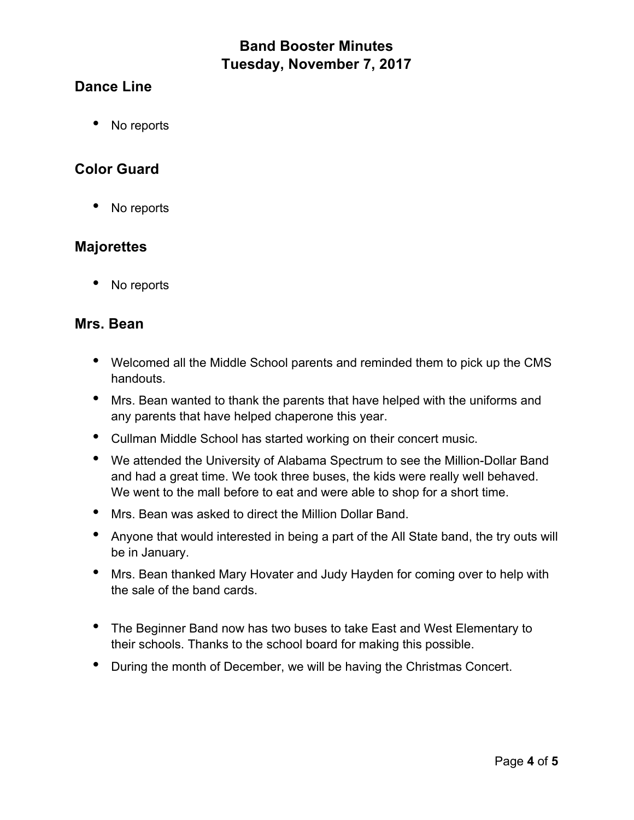### **Dance Line**

• No reports

### **Color Guard**

• No reports

### **Majorettes**

• No reports

#### **Mrs. Bean**

- Welcomed all the Middle School parents and reminded them to pick up the CMS handouts.
- Mrs. Bean wanted to thank the parents that have helped with the uniforms and any parents that have helped chaperone this year.
- Cullman Middle School has started working on their concert music.
- We attended the University of Alabama Spectrum to see the Million-Dollar Band and had a great time. We took three buses, the kids were really well behaved. We went to the mall before to eat and were able to shop for a short time.
- Mrs. Bean was asked to direct the Million Dollar Band.
- Anyone that would interested in being a part of the All State band, the try outs will be in January.
- Mrs. Bean thanked Mary Hovater and Judy Hayden for coming over to help with the sale of the band cards.
- The Beginner Band now has two buses to take East and West Elementary to their schools. Thanks to the school board for making this possible.
- During the month of December, we will be having the Christmas Concert.